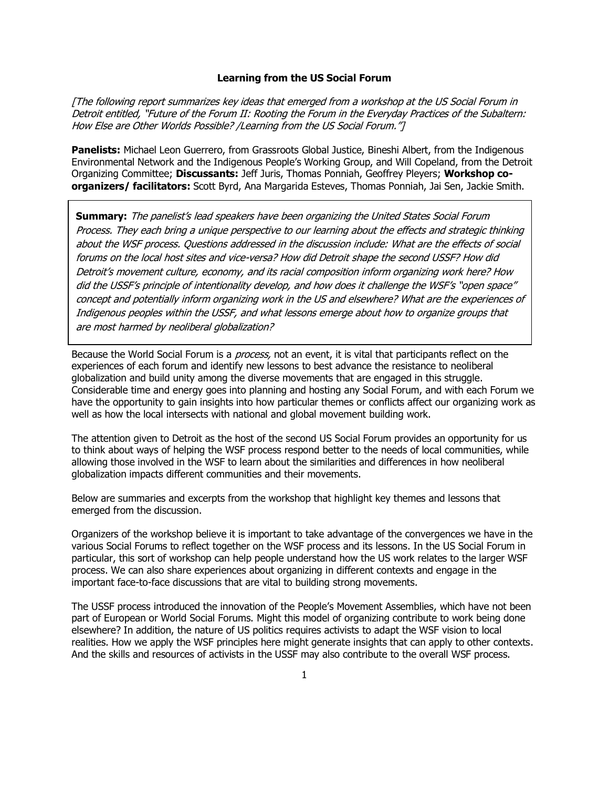### **Learning from the US Social Forum**

[The following report summarizes key ideas that emerged from a workshop at the US Social Forum in Detroit entitled, "Future of the Forum II: Rooting the Forum in the Everyday Practices of the Subaltern: How Else are Other Worlds Possible? /Learning from the US Social Forum."]

**Panelists:** Michael Leon Guerrero, from Grassroots Global Justice, Bineshi Albert, from the Indigenous Environmental Network and the Indigenous People"s Working Group, and Will Copeland, from the Detroit Organizing Committee; **Discussants:** Jeff Juris, Thomas Ponniah, Geoffrey Pleyers; **Workshop coorganizers/ facilitators:** Scott Byrd, Ana Margarida Esteves, Thomas Ponniah, Jai Sen, Jackie Smith.

**Summary:** The panelist's lead speakers have been organizing the United States Social Forum Process. They each bring a unique perspective to our learning about the effects and strategic thinking about the WSF process. Questions addressed in the discussion include: What are the effects of social forums on the local host sites and vice-versa? How did Detroit shape the second USSF? How did Detroit's movement culture, economy, and its racial composition inform organizing work here? How did the USSF's principle of intentionality develop, and how does it challenge the WSF's "open space" concept and potentially inform organizing work in the US and elsewhere? What are the experiences of Indigenous peoples within the USSF, and what lessons emerge about how to organize groups that are most harmed by neoliberal globalization?

Because the World Social Forum is a *process*, not an event, it is vital that participants reflect on the experiences of each forum and identify new lessons to best advance the resistance to neoliberal globalization and build unity among the diverse movements that are engaged in this struggle. Considerable time and energy goes into planning and hosting any Social Forum, and with each Forum we have the opportunity to gain insights into how particular themes or conflicts affect our organizing work as well as how the local intersects with national and global movement building work.

The attention given to Detroit as the host of the second US Social Forum provides an opportunity for us to think about ways of helping the WSF process respond better to the needs of local communities, while allowing those involved in the WSF to learn about the similarities and differences in how neoliberal globalization impacts different communities and their movements.

Below are summaries and excerpts from the workshop that highlight key themes and lessons that emerged from the discussion.

Organizers of the workshop believe it is important to take advantage of the convergences we have in the various Social Forums to reflect together on the WSF process and its lessons. In the US Social Forum in particular, this sort of workshop can help people understand how the US work relates to the larger WSF process. We can also share experiences about organizing in different contexts and engage in the important face-to-face discussions that are vital to building strong movements.

The USSF process introduced the innovation of the People"s Movement Assemblies, which have not been part of European or World Social Forums. Might this model of organizing contribute to work being done elsewhere? In addition, the nature of US politics requires activists to adapt the WSF vision to local realities. How we apply the WSF principles here might generate insights that can apply to other contexts. And the skills and resources of activists in the USSF may also contribute to the overall WSF process.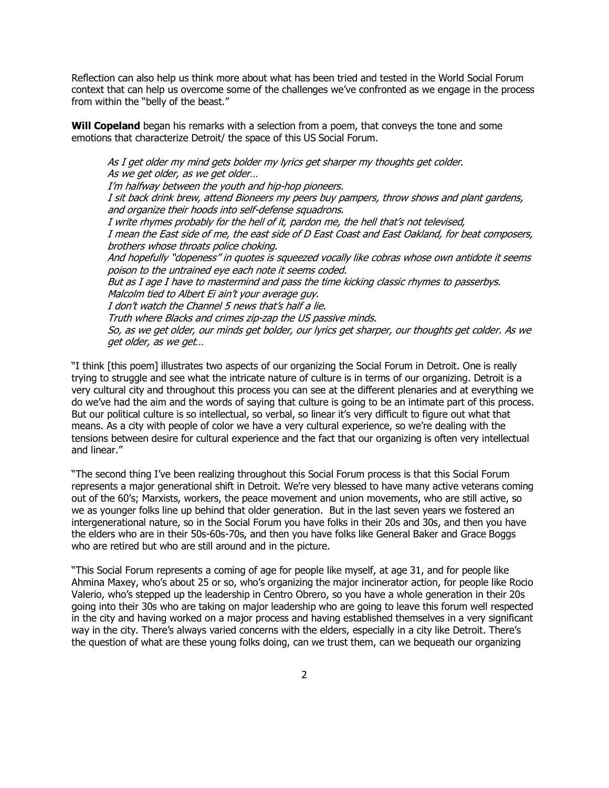Reflection can also help us think more about what has been tried and tested in the World Social Forum context that can help us overcome some of the challenges we"ve confronted as we engage in the process from within the "belly of the beast."

**Will Copeland** began his remarks with a selection from a poem, that conveys the tone and some emotions that characterize Detroit/ the space of this US Social Forum.

As I get older my mind gets bolder my lyrics get sharper my thoughts get colder. As we get older, as we get older… I'm halfway between the youth and hip-hop pioneers. I sit back drink brew, attend Bioneers my peers buy pampers, throw shows and plant gardens, and organize their hoods into self-defense squadrons. I write rhymes probably for the hell of it, pardon me, the hell that"s not televised, I mean the East side of me, the east side of D East Coast and East Oakland, for beat composers, brothers whose throats police choking. And hopefully "dopeness" in quotes is squeezed vocally like cobras whose own antidote it seems poison to the untrained eye each note it seems coded. But as I age I have to mastermind and pass the time kicking classic rhymes to passerbys. Malcolm tied to Albert Ei ain't your average guy. I don't watch the Channel 5 news that's half a lie. Truth where Blacks and crimes zip-zap the US passive minds. So, as we get older, our minds get bolder, our lyrics get sharper, our thoughts get colder. As we get older, as we get…

"I think [this poem] illustrates two aspects of our organizing the Social Forum in Detroit. One is really trying to struggle and see what the intricate nature of culture is in terms of our organizing. Detroit is a very cultural city and throughout this process you can see at the different plenaries and at everything we do we"ve had the aim and the words of saying that culture is going to be an intimate part of this process. But our political culture is so intellectual, so verbal, so linear it"s very difficult to figure out what that means. As a city with people of color we have a very cultural experience, so we"re dealing with the tensions between desire for cultural experience and the fact that our organizing is often very intellectual and linear."

"The second thing I"ve been realizing throughout this Social Forum process is that this Social Forum represents a major generational shift in Detroit. We"re very blessed to have many active veterans coming out of the 60"s; Marxists, workers, the peace movement and union movements, who are still active, so we as younger folks line up behind that older generation. But in the last seven years we fostered an intergenerational nature, so in the Social Forum you have folks in their 20s and 30s, and then you have the elders who are in their 50s-60s-70s, and then you have folks like General Baker and Grace Boggs who are retired but who are still around and in the picture.

"This Social Forum represents a coming of age for people like myself, at age 31, and for people like Ahmina Maxey, who"s about 25 or so, who"s organizing the major incinerator action, for people like Rocio Valerio, who"s stepped up the leadership in Centro Obrero, so you have a whole generation in their 20s going into their 30s who are taking on major leadership who are going to leave this forum well respected in the city and having worked on a major process and having established themselves in a very significant way in the city. There's always varied concerns with the elders, especially in a city like Detroit. There's the question of what are these young folks doing, can we trust them, can we bequeath our organizing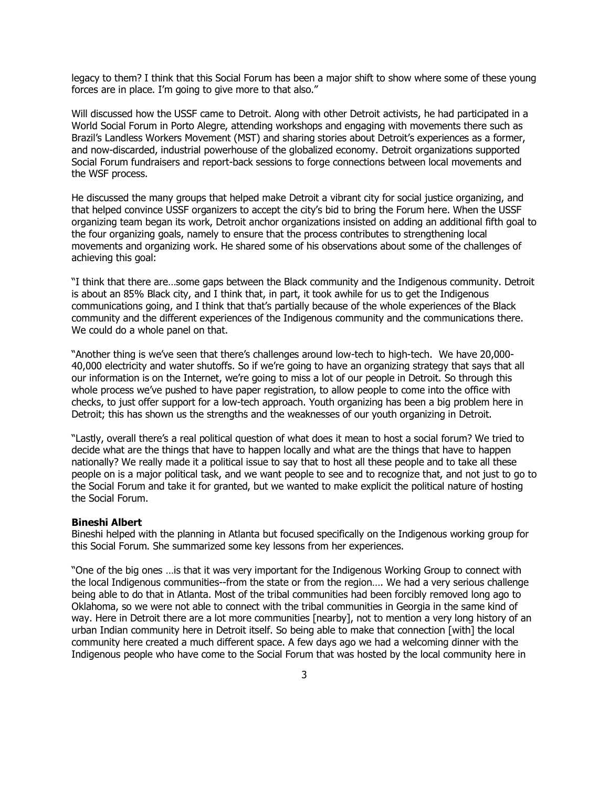legacy to them? I think that this Social Forum has been a major shift to show where some of these young forces are in place. I'm going to give more to that also."

Will discussed how the USSF came to Detroit. Along with other Detroit activists, he had participated in a World Social Forum in Porto Alegre, attending workshops and engaging with movements there such as Brazil's Landless Workers Movement (MST) and sharing stories about Detroit's experiences as a former, and now-discarded, industrial powerhouse of the globalized economy. Detroit organizations supported Social Forum fundraisers and report-back sessions to forge connections between local movements and the WSF process.

He discussed the many groups that helped make Detroit a vibrant city for social justice organizing, and that helped convince USSF organizers to accept the city"s bid to bring the Forum here. When the USSF organizing team began its work, Detroit anchor organizations insisted on adding an additional fifth goal to the four organizing goals, namely to ensure that the process contributes to strengthening local movements and organizing work. He shared some of his observations about some of the challenges of achieving this goal:

"I think that there are…some gaps between the Black community and the Indigenous community. Detroit is about an 85% Black city, and I think that, in part, it took awhile for us to get the Indigenous communications going, and I think that that"s partially because of the whole experiences of the Black community and the different experiences of the Indigenous community and the communications there. We could do a whole panel on that.

"Another thing is we"ve seen that there"s challenges around low-tech to high-tech. We have 20,000- 40,000 electricity and water shutoffs. So if we"re going to have an organizing strategy that says that all our information is on the Internet, we"re going to miss a lot of our people in Detroit. So through this whole process we"ve pushed to have paper registration, to allow people to come into the office with checks, to just offer support for a low-tech approach. Youth organizing has been a big problem here in Detroit; this has shown us the strengths and the weaknesses of our youth organizing in Detroit.

"Lastly, overall there"s a real political question of what does it mean to host a social forum? We tried to decide what are the things that have to happen locally and what are the things that have to happen nationally? We really made it a political issue to say that to host all these people and to take all these people on is a major political task, and we want people to see and to recognize that, and not just to go to the Social Forum and take it for granted, but we wanted to make explicit the political nature of hosting the Social Forum.

#### **Bineshi Albert**

Bineshi helped with the planning in Atlanta but focused specifically on the Indigenous working group for this Social Forum. She summarized some key lessons from her experiences.

"One of the big ones …is that it was very important for the Indigenous Working Group to connect with the local Indigenous communities--from the state or from the region…. We had a very serious challenge being able to do that in Atlanta. Most of the tribal communities had been forcibly removed long ago to Oklahoma, so we were not able to connect with the tribal communities in Georgia in the same kind of way. Here in Detroit there are a lot more communities [nearby], not to mention a very long history of an urban Indian community here in Detroit itself. So being able to make that connection [with] the local community here created a much different space. A few days ago we had a welcoming dinner with the Indigenous people who have come to the Social Forum that was hosted by the local community here in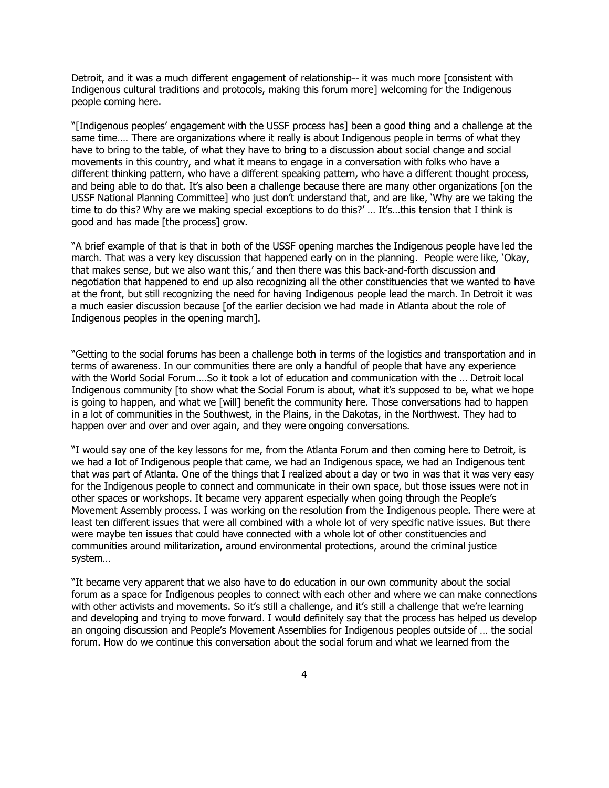Detroit, and it was a much different engagement of relationship-- it was much more [consistent with Indigenous cultural traditions and protocols, making this forum more] welcoming for the Indigenous people coming here.

"[Indigenous peoples" engagement with the USSF process has] been a good thing and a challenge at the same time…. There are organizations where it really is about Indigenous people in terms of what they have to bring to the table, of what they have to bring to a discussion about social change and social movements in this country, and what it means to engage in a conversation with folks who have a different thinking pattern, who have a different speaking pattern, who have a different thought process, and being able to do that. It's also been a challenge because there are many other organizations [on the USSF National Planning Committee] who just don"t understand that, and are like, "Why are we taking the time to do this? Why are we making special exceptions to do this?' ... It's...this tension that I think is good and has made [the process] grow.

"A brief example of that is that in both of the USSF opening marches the Indigenous people have led the march. That was a very key discussion that happened early on in the planning. People were like, "Okay, that makes sense, but we also want this," and then there was this back-and-forth discussion and negotiation that happened to end up also recognizing all the other constituencies that we wanted to have at the front, but still recognizing the need for having Indigenous people lead the march. In Detroit it was a much easier discussion because [of the earlier decision we had made in Atlanta about the role of Indigenous peoples in the opening march].

"Getting to the social forums has been a challenge both in terms of the logistics and transportation and in terms of awareness. In our communities there are only a handful of people that have any experience with the World Social Forum….So it took a lot of education and communication with the … Detroit local Indigenous community [to show what the Social Forum is about, what it's supposed to be, what we hope is going to happen, and what we [will] benefit the community here. Those conversations had to happen in a lot of communities in the Southwest, in the Plains, in the Dakotas, in the Northwest. They had to happen over and over and over again, and they were ongoing conversations.

"I would say one of the key lessons for me, from the Atlanta Forum and then coming here to Detroit, is we had a lot of Indigenous people that came, we had an Indigenous space, we had an Indigenous tent that was part of Atlanta. One of the things that I realized about a day or two in was that it was very easy for the Indigenous people to connect and communicate in their own space, but those issues were not in other spaces or workshops. It became very apparent especially when going through the People"s Movement Assembly process. I was working on the resolution from the Indigenous people. There were at least ten different issues that were all combined with a whole lot of very specific native issues. But there were maybe ten issues that could have connected with a whole lot of other constituencies and communities around militarization, around environmental protections, around the criminal justice system…

"It became very apparent that we also have to do education in our own community about the social forum as a space for Indigenous peoples to connect with each other and where we can make connections with other activists and movements. So it's still a challenge, and it's still a challenge that we're learning and developing and trying to move forward. I would definitely say that the process has helped us develop an ongoing discussion and People"s Movement Assemblies for Indigenous peoples outside of … the social forum. How do we continue this conversation about the social forum and what we learned from the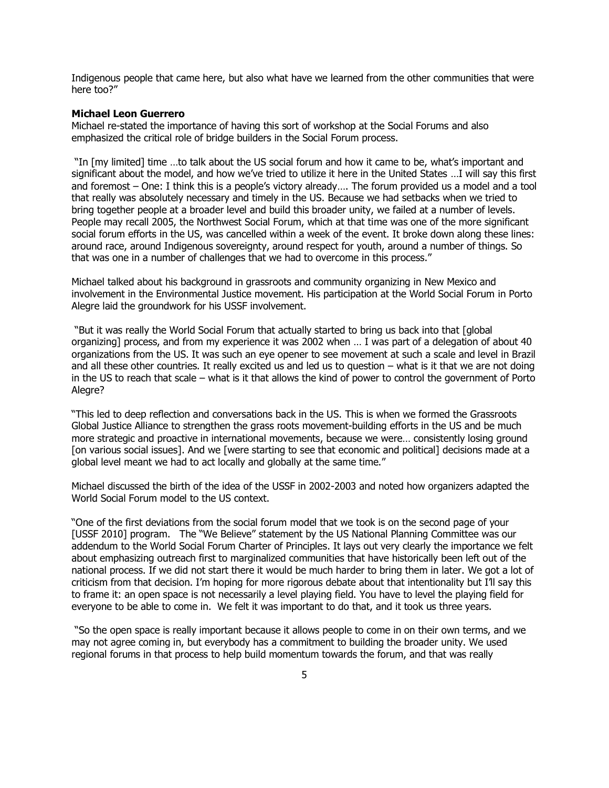Indigenous people that came here, but also what have we learned from the other communities that were here too?"

## **Michael Leon Guerrero**

Michael re-stated the importance of having this sort of workshop at the Social Forums and also emphasized the critical role of bridge builders in the Social Forum process.

"In [my limited] time …to talk about the US social forum and how it came to be, what"s important and significant about the model, and how we've tried to utilize it here in the United States ...I will say this first and foremost – One: I think this is a people's victory already.... The forum provided us a model and a tool that really was absolutely necessary and timely in the US. Because we had setbacks when we tried to bring together people at a broader level and build this broader unity, we failed at a number of levels. People may recall 2005, the Northwest Social Forum, which at that time was one of the more significant social forum efforts in the US, was cancelled within a week of the event. It broke down along these lines: around race, around Indigenous sovereignty, around respect for youth, around a number of things. So that was one in a number of challenges that we had to overcome in this process."

Michael talked about his background in grassroots and community organizing in New Mexico and involvement in the Environmental Justice movement. His participation at the World Social Forum in Porto Alegre laid the groundwork for his USSF involvement.

"But it was really the World Social Forum that actually started to bring us back into that [global organizing] process, and from my experience it was 2002 when … I was part of a delegation of about 40 organizations from the US. It was such an eye opener to see movement at such a scale and level in Brazil and all these other countries. It really excited us and led us to question – what is it that we are not doing in the US to reach that scale – what is it that allows the kind of power to control the government of Porto Aleare?

"This led to deep reflection and conversations back in the US. This is when we formed the Grassroots Global Justice Alliance to strengthen the grass roots movement-building efforts in the US and be much more strategic and proactive in international movements, because we were… consistently losing ground [on various social issues]. And we [were starting to see that economic and political] decisions made at a global level meant we had to act locally and globally at the same time."

Michael discussed the birth of the idea of the USSF in 2002-2003 and noted how organizers adapted the World Social Forum model to the US context.

"One of the first deviations from the social forum model that we took is on the second page of your [USSF 2010] program. The "We Believe" statement by the US National Planning Committee was our addendum to the World Social Forum Charter of Principles. It lays out very clearly the importance we felt about emphasizing outreach first to marginalized communities that have historically been left out of the national process. If we did not start there it would be much harder to bring them in later. We got a lot of criticism from that decision. I"m hoping for more rigorous debate about that intentionality but I"ll say this to frame it: an open space is not necessarily a level playing field. You have to level the playing field for everyone to be able to come in. We felt it was important to do that, and it took us three years.

"So the open space is really important because it allows people to come in on their own terms, and we may not agree coming in, but everybody has a commitment to building the broader unity. We used regional forums in that process to help build momentum towards the forum, and that was really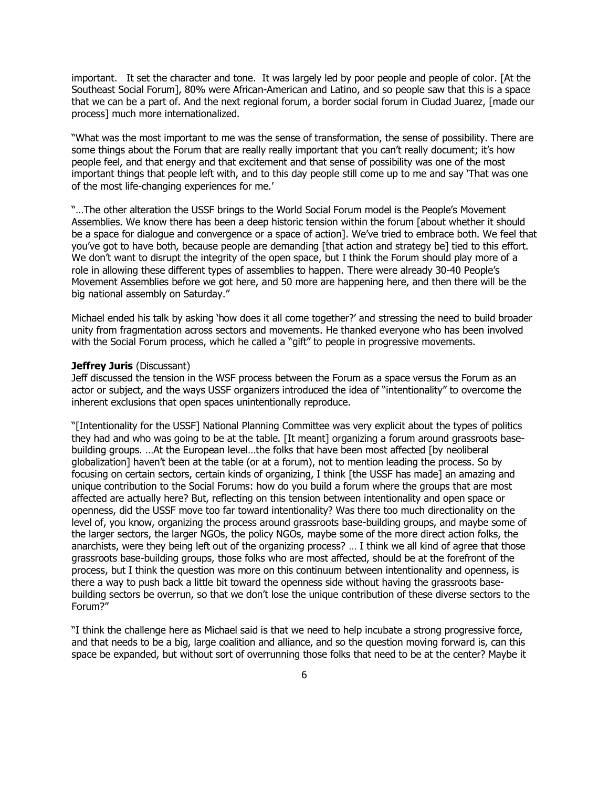important. It set the character and tone. It was largely led by poor people and people of color. [At the Southeast Social Forum], 80% were African-American and Latino, and so people saw that this is a space that we can be a part of. And the next regional forum, a border social forum in Ciudad Juarez, [made our process] much more internationalized.

"What was the most important to me was the sense of transformation, the sense of possibility. There are some things about the Forum that are really really important that you can't really document; it's how people feel, and that energy and that excitement and that sense of possibility was one of the most important things that people left with, and to this day people still come up to me and say "That was one of the most life-changing experiences for me.'

"…The other alteration the USSF brings to the World Social Forum model is the People"s Movement Assemblies. We know there has been a deep historic tension within the forum [about whether it should be a space for dialogue and convergence or a space of action]. We've tried to embrace both. We feel that you"ve got to have both, because people are demanding [that action and strategy be] tied to this effort. We don't want to disrupt the integrity of the open space, but I think the Forum should play more of a role in allowing these different types of assemblies to happen. There were already 30-40 People"s Movement Assemblies before we got here, and 50 more are happening here, and then there will be the big national assembly on Saturday."

Michael ended his talk by asking "how does it all come together?" and stressing the need to build broader unity from fragmentation across sectors and movements. He thanked everyone who has been involved with the Social Forum process, which he called a "gift" to people in progressive movements.

#### **Jeffrey Juris** (Discussant)

Jeff discussed the tension in the WSF process between the Forum as a space versus the Forum as an actor or subject, and the ways USSF organizers introduced the idea of "intentionality" to overcome the inherent exclusions that open spaces unintentionally reproduce.

"[Intentionality for the USSF] National Planning Committee was very explicit about the types of politics they had and who was going to be at the table. [It meant] organizing a forum around grassroots basebuilding groups. …At the European level…the folks that have been most affected [by neoliberal globalization] haven"t been at the table (or at a forum), not to mention leading the process. So by focusing on certain sectors, certain kinds of organizing, I think [the USSF has made] an amazing and unique contribution to the Social Forums: how do you build a forum where the groups that are most affected are actually here? But, reflecting on this tension between intentionality and open space or openness, did the USSF move too far toward intentionality? Was there too much directionality on the level of, you know, organizing the process around grassroots base-building groups, and maybe some of the larger sectors, the larger NGOs, the policy NGOs, maybe some of the more direct action folks, the anarchists, were they being left out of the organizing process? … I think we all kind of agree that those grassroots base-building groups, those folks who are most affected, should be at the forefront of the process, but I think the question was more on this continuum between intentionality and openness, is there a way to push back a little bit toward the openness side without having the grassroots basebuilding sectors be overrun, so that we don"t lose the unique contribution of these diverse sectors to the Forum?"

"I think the challenge here as Michael said is that we need to help incubate a strong progressive force, and that needs to be a big, large coalition and alliance, and so the question moving forward is, can this space be expanded, but without sort of overrunning those folks that need to be at the center? Maybe it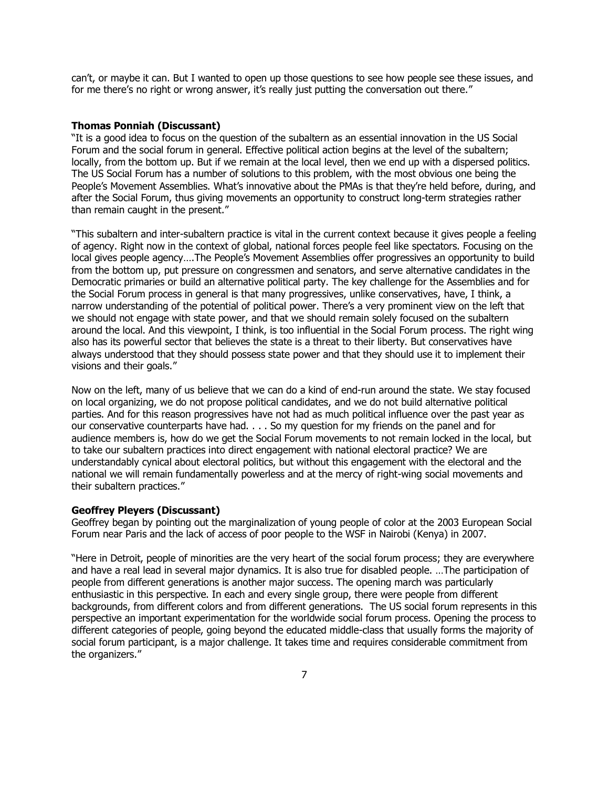can"t, or maybe it can. But I wanted to open up those questions to see how people see these issues, and for me there's no right or wrong answer, it's really just putting the conversation out there."

# **Thomas Ponniah (Discussant)**

"It is a good idea to focus on the question of the subaltern as an essential innovation in the US Social Forum and the social forum in general. Effective political action begins at the level of the subaltern; locally, from the bottom up. But if we remain at the local level, then we end up with a dispersed politics. The US Social Forum has a number of solutions to this problem, with the most obvious one being the People's Movement Assemblies. What's innovative about the PMAs is that they're held before, during, and after the Social Forum, thus giving movements an opportunity to construct long-term strategies rather than remain caught in the present."

"This subaltern and inter-subaltern practice is vital in the current context because it gives people a feeling of agency. Right now in the context of global, national forces people feel like spectators. Focusing on the local gives people agency….The People"s Movement Assemblies offer progressives an opportunity to build from the bottom up, put pressure on congressmen and senators, and serve alternative candidates in the Democratic primaries or build an alternative political party. The key challenge for the Assemblies and for the Social Forum process in general is that many progressives, unlike conservatives, have, I think, a narrow understanding of the potential of political power. There's a very prominent view on the left that we should not engage with state power, and that we should remain solely focused on the subaltern around the local. And this viewpoint, I think, is too influential in the Social Forum process. The right wing also has its powerful sector that believes the state is a threat to their liberty. But conservatives have always understood that they should possess state power and that they should use it to implement their visions and their goals."

Now on the left, many of us believe that we can do a kind of end-run around the state. We stay focused on local organizing, we do not propose political candidates, and we do not build alternative political parties. And for this reason progressives have not had as much political influence over the past year as our conservative counterparts have had. . . . So my question for my friends on the panel and for audience members is, how do we get the Social Forum movements to not remain locked in the local, but to take our subaltern practices into direct engagement with national electoral practice? We are understandably cynical about electoral politics, but without this engagement with the electoral and the national we will remain fundamentally powerless and at the mercy of right-wing social movements and their subaltern practices."

# **Geoffrey Pleyers (Discussant)**

Geoffrey began by pointing out the marginalization of young people of color at the 2003 European Social Forum near Paris and the lack of access of poor people to the WSF in Nairobi (Kenya) in 2007.

"Here in Detroit, people of minorities are the very heart of the social forum process; they are everywhere and have a real lead in several major dynamics. It is also true for disabled people. …The participation of people from different generations is another major success. The opening march was particularly enthusiastic in this perspective. In each and every single group, there were people from different backgrounds, from different colors and from different generations. The US social forum represents in this perspective an important experimentation for the worldwide social forum process. Opening the process to different categories of people, going beyond the educated middle-class that usually forms the majority of social forum participant, is a major challenge. It takes time and requires considerable commitment from the organizers."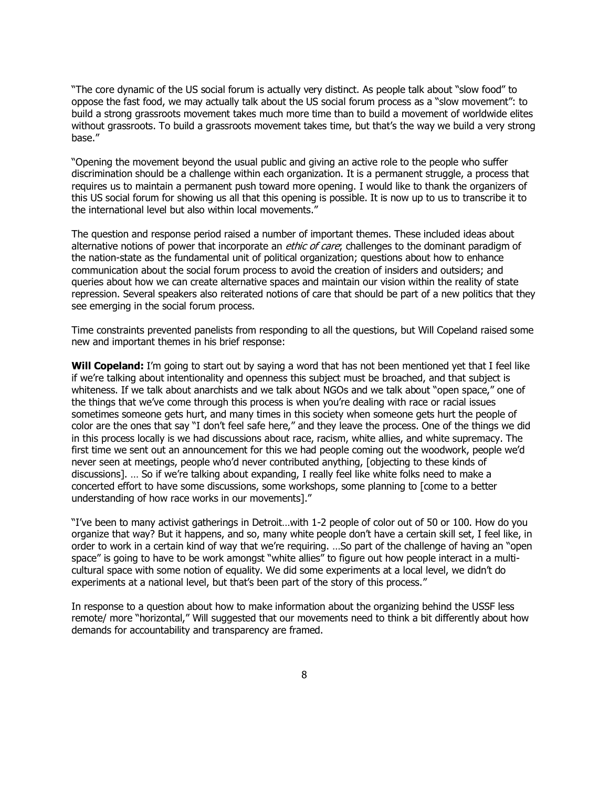"The core dynamic of the US social forum is actually very distinct. As people talk about "slow food" to oppose the fast food, we may actually talk about the US social forum process as a "slow movement": to build a strong grassroots movement takes much more time than to build a movement of worldwide elites without grassroots. To build a grassroots movement takes time, but that's the way we build a very strong base."

"Opening the movement beyond the usual public and giving an active role to the people who suffer discrimination should be a challenge within each organization. It is a permanent struggle, a process that requires us to maintain a permanent push toward more opening. I would like to thank the organizers of this US social forum for showing us all that this opening is possible. It is now up to us to transcribe it to the international level but also within local movements."

The question and response period raised a number of important themes. These included ideas about alternative notions of power that incorporate an *ethic of care*; challenges to the dominant paradigm of the nation-state as the fundamental unit of political organization; questions about how to enhance communication about the social forum process to avoid the creation of insiders and outsiders; and queries about how we can create alternative spaces and maintain our vision within the reality of state repression. Several speakers also reiterated notions of care that should be part of a new politics that they see emerging in the social forum process.

Time constraints prevented panelists from responding to all the questions, but Will Copeland raised some new and important themes in his brief response:

Will Copeland: I'm going to start out by saying a word that has not been mentioned yet that I feel like if we"re talking about intentionality and openness this subject must be broached, and that subject is whiteness. If we talk about anarchists and we talk about NGOs and we talk about "open space," one of the things that we"ve come through this process is when you"re dealing with race or racial issues sometimes someone gets hurt, and many times in this society when someone gets hurt the people of color are the ones that say "I don't feel safe here," and they leave the process. One of the things we did in this process locally is we had discussions about race, racism, white allies, and white supremacy. The first time we sent out an announcement for this we had people coming out the woodwork, people we"d never seen at meetings, people who"d never contributed anything, [objecting to these kinds of discussions]. … So if we"re talking about expanding, I really feel like white folks need to make a concerted effort to have some discussions, some workshops, some planning to [come to a better understanding of how race works in our movements]."

"I"ve been to many activist gatherings in Detroit…with 1-2 people of color out of 50 or 100. How do you organize that way? But it happens, and so, many white people don"t have a certain skill set, I feel like, in order to work in a certain kind of way that we"re requiring. …So part of the challenge of having an "open space" is going to have to be work amongst "white allies" to figure out how people interact in a multicultural space with some notion of equality. We did some experiments at a local level, we didn"t do experiments at a national level, but that's been part of the story of this process."

In response to a question about how to make information about the organizing behind the USSF less remote/ more "horizontal," Will suggested that our movements need to think a bit differently about how demands for accountability and transparency are framed.